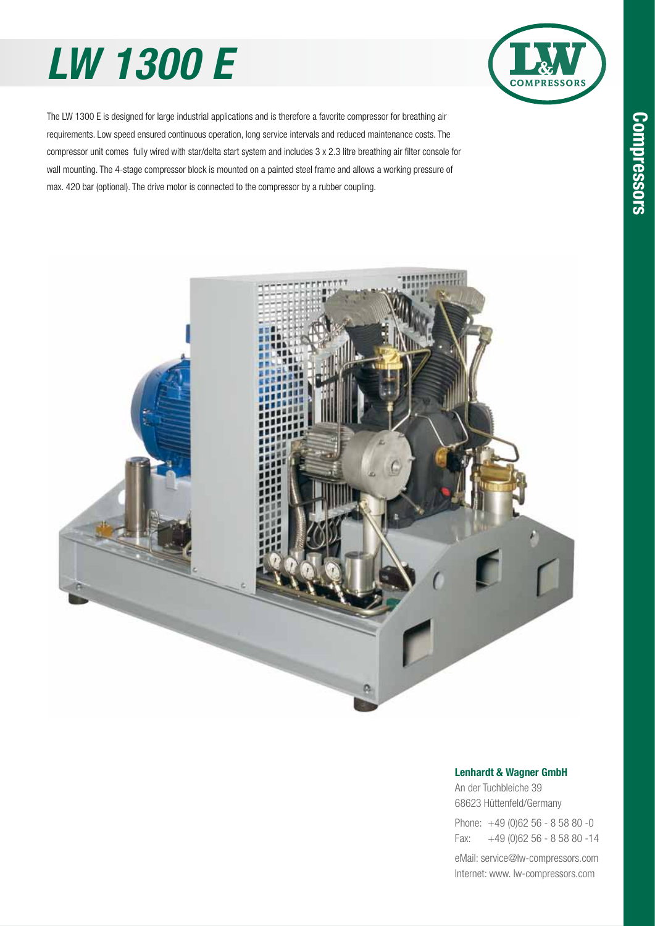# *LW 1300 E*



The LW 1300 E is designed for large industrial applications and is therefore a favorite compressor for breathing air requirements. Low speed ensured continuous operation, long service intervals and reduced maintenance costs. The compressor unit comes fully wired with star/delta start system and includes 3 x 2.3 litre breathing air filter console for wall mounting. The 4-stage compressor block is mounted on a painted steel frame and allows a working pressure of max. 420 bar (optional). The drive motor is connected to the compressor by a rubber coupling.



#### **Lenhardt & Wagner GmbH**

An der Tuchbleiche 39 68623 Hüttenfeld / Germany Hüttenfeld/Germany

Phone: +49 (0)62 56 - 8 58 80 -0 Fax: +49 (0)62 56 - 8 58 80 -14 +49 (0)62 56 - 8 58 80 -14

eMail: service@lw-compressors.com Internet: www. lw-compressors.com